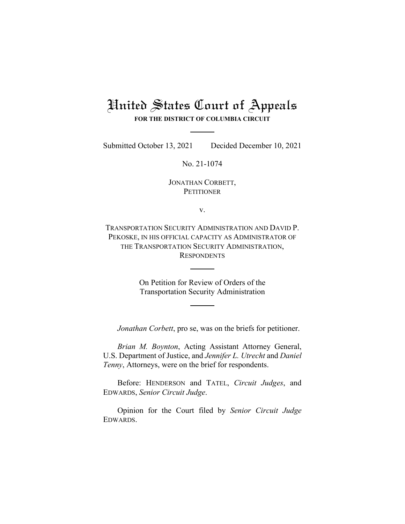# United States Court of Appeals **FOR THE DISTRICT OF COLUMBIA CIRCUIT**

Submitted October 13, 2021 Decided December 10, 2021

No. 21-1074

JONATHAN CORBETT, **PETITIONER** 

v.

TRANSPORTATION SECURITY ADMINISTRATION AND DAVID P. PEKOSKE, IN HIS OFFICIAL CAPACITY AS ADMINISTRATOR OF THE TRANSPORTATION SECURITY ADMINISTRATION, **RESPONDENTS** 

> On Petition for Review of Orders of the Transportation Security Administration

*Jonathan Corbett*, pro se, was on the briefs for petitioner.

*Brian M. Boynton*, Acting Assistant Attorney General, U.S. Department of Justice, and *Jennifer L. Utrecht* and *Daniel Tenny*, Attorneys, were on the brief for respondents.

Before: HENDERSON and TATEL, *Circuit Judges*, and EDWARDS, *Senior Circuit Judge*.

Opinion for the Court filed by *Senior Circuit Judge*  EDWARDS.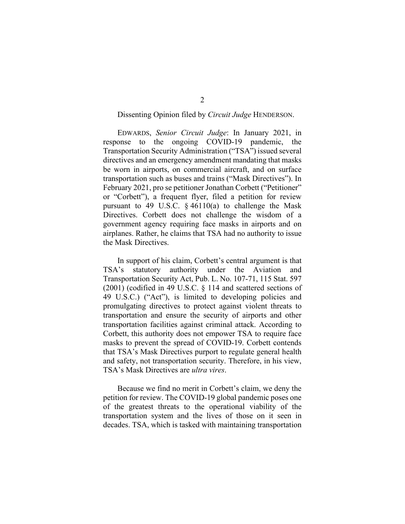### Dissenting Opinion filed by *Circuit Judge* HENDERSON.

EDWARDS, *Senior Circuit Judge*: In January 2021, in response to the ongoing COVID-19 pandemic, the Transportation Security Administration ("TSA") issued several directives and an emergency amendment mandating that masks be worn in airports, on commercial aircraft, and on surface transportation such as buses and trains ("Mask Directives"). In February 2021, pro se petitioner Jonathan Corbett ("Petitioner" or "Corbett"), a frequent flyer, filed a petition for review pursuant to 49 U.S.C. § 46110(a) to challenge the Mask Directives. Corbett does not challenge the wisdom of a government agency requiring face masks in airports and on airplanes. Rather, he claims that TSA had no authority to issue the Mask Directives.

In support of his claim, Corbett's central argument is that TSA's statutory authority under the Aviation and Transportation Security Act, Pub. L. No. 107-71, 115 Stat. 597 (2001) (codified in 49 U.S.C. § 114 and scattered sections of 49 U.S.C.) ("Act"), is limited to developing policies and promulgating directives to protect against violent threats to transportation and ensure the security of airports and other transportation facilities against criminal attack. According to Corbett, this authority does not empower TSA to require face masks to prevent the spread of COVID-19. Corbett contends that TSA's Mask Directives purport to regulate general health and safety, not transportation security. Therefore, in his view, TSA's Mask Directives are *ultra vires*.

Because we find no merit in Corbett's claim, we deny the petition for review. The COVID-19 global pandemic poses one of the greatest threats to the operational viability of the transportation system and the lives of those on it seen in decades. TSA, which is tasked with maintaining transportation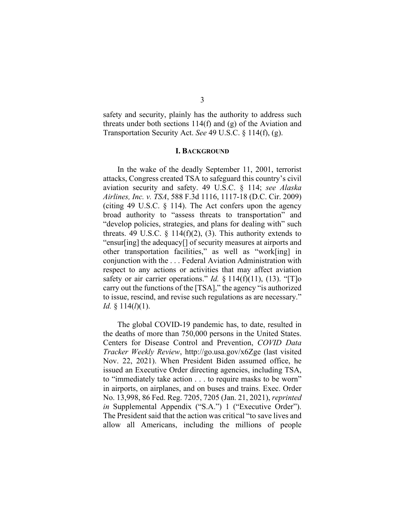safety and security, plainly has the authority to address such threats under both sections 114(f) and (g) of the Aviation and Transportation Security Act. *See* 49 U.S.C. § 114(f), (g).

#### **I. BACKGROUND**

In the wake of the deadly September 11, 2001, terrorist attacks, Congress created TSA to safeguard this country's civil aviation security and safety. 49 U.S.C. § 114; *see Alaska Airlines, Inc. v. TSA*, 588 F.3d 1116, 1117-18 (D.C. Cir. 2009) (citing 49 U.S.C. § 114). The Act confers upon the agency broad authority to "assess threats to transportation" and "develop policies, strategies, and plans for dealing with" such threats. 49 U.S.C.  $\S$  114(f)(2), (3). This authority extends to "ensur[ing] the adequacy[] of security measures at airports and other transportation facilities," as well as "work[ing] in conjunction with the . . . Federal Aviation Administration with respect to any actions or activities that may affect aviation safety or air carrier operations." *Id.* § 114(f)(11), (13). "[T]o carry out the functions of the [TSA]," the agency "is authorized to issue, rescind, and revise such regulations as are necessary." *Id.* § 114(*l*)(1).

The global COVID-19 pandemic has, to date, resulted in the deaths of more than 750,000 persons in the United States. Centers for Disease Control and Prevention, *COVID Data Tracker Weekly Review*, http://go.usa.gov/x6Zge (last visited Nov. 22, 2021). When President Biden assumed office, he issued an Executive Order directing agencies, including TSA, to "immediately take action . . . to require masks to be worn" in airports, on airplanes, and on buses and trains. Exec. Order No. 13,998, 86 Fed. Reg. 7205, 7205 (Jan. 21, 2021), *reprinted in* Supplemental Appendix ("S.A.") 1 ("Executive Order"). The President said that the action was critical "to save lives and allow all Americans, including the millions of people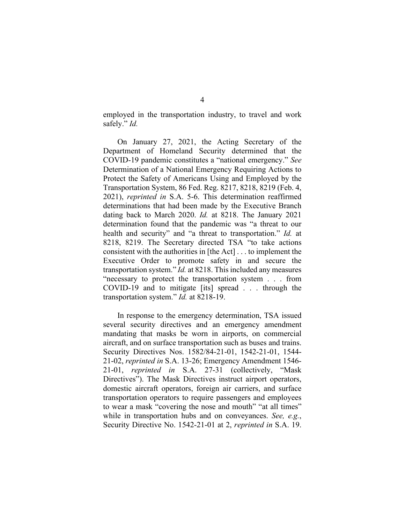employed in the transportation industry, to travel and work safely." *Id.*

On January 27, 2021, the Acting Secretary of the Department of Homeland Security determined that the COVID-19 pandemic constitutes a "national emergency." *See* Determination of a National Emergency Requiring Actions to Protect the Safety of Americans Using and Employed by the Transportation System, 86 Fed. Reg. 8217, 8218, 8219 (Feb. 4, 2021), *reprinted in* S.A. 5-6. This determination reaffirmed determinations that had been made by the Executive Branch dating back to March 2020. *Id.* at 8218. The January 2021 determination found that the pandemic was "a threat to our health and security" and "a threat to transportation." *Id.* at 8218, 8219. The Secretary directed TSA "to take actions consistent with the authorities in [the Act] . . . to implement the Executive Order to promote safety in and secure the transportation system." *Id.* at 8218. This included any measures "necessary to protect the transportation system . . . from COVID-19 and to mitigate [its] spread . . . through the transportation system." *Id.* at 8218-19.

In response to the emergency determination, TSA issued several security directives and an emergency amendment mandating that masks be worn in airports, on commercial aircraft, and on surface transportation such as buses and trains. Security Directives Nos. 1582/84-21-01, 1542-21-01, 1544- 21-02, *reprinted in* S.A. 13-26; Emergency Amendment 1546- 21-01, *reprinted in* S.A. 27-31 (collectively, "Mask Directives"). The Mask Directives instruct airport operators, domestic aircraft operators, foreign air carriers, and surface transportation operators to require passengers and employees to wear a mask "covering the nose and mouth" "at all times" while in transportation hubs and on conveyances. *See, e.g.*, Security Directive No. 1542-21-01 at 2, *reprinted in* S.A. 19.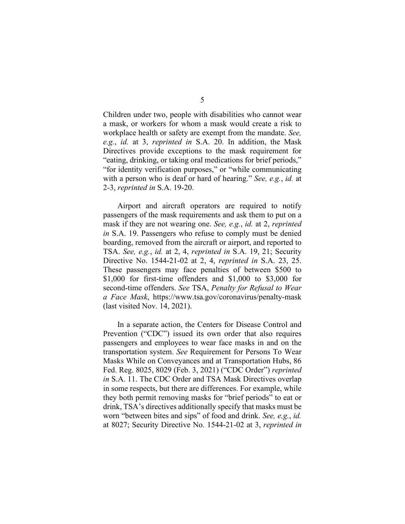Children under two, people with disabilities who cannot wear a mask, or workers for whom a mask would create a risk to workplace health or safety are exempt from the mandate. *See, e.g.*, *id.* at 3, *reprinted in* S.A. 20. In addition, the Mask Directives provide exceptions to the mask requirement for "eating, drinking, or taking oral medications for brief periods," "for identity verification purposes," or "while communicating with a person who is deaf or hard of hearing." *See, e.g.*, *id.* at 2-3, *reprinted in* S.A. 19-20.

Airport and aircraft operators are required to notify passengers of the mask requirements and ask them to put on a mask if they are not wearing one. *See, e.g.*, *id.* at 2, *reprinted in* S.A. 19. Passengers who refuse to comply must be denied boarding, removed from the aircraft or airport, and reported to TSA. *See, e.g.*, *id.* at 2, 4, *reprinted in* S.A. 19, 21; Security Directive No. 1544-21-02 at 2, 4, *reprinted in* S.A. 23, 25. These passengers may face penalties of between \$500 to \$1,000 for first-time offenders and \$1,000 to \$3,000 for second-time offenders. *See* TSA, *Penalty for Refusal to Wear a Face Mask*, https://www.tsa.gov/coronavirus/penalty-mask (last visited Nov. 14, 2021).

In a separate action, the Centers for Disease Control and Prevention ("CDC") issued its own order that also requires passengers and employees to wear face masks in and on the transportation system. *See* Requirement for Persons To Wear Masks While on Conveyances and at Transportation Hubs, 86 Fed. Reg. 8025, 8029 (Feb. 3, 2021) ("CDC Order") *reprinted in* S.A. 11. The CDC Order and TSA Mask Directives overlap in some respects, but there are differences. For example, while they both permit removing masks for "brief periods" to eat or drink, TSA's directives additionally specify that masks must be worn "between bites and sips" of food and drink. *See, e.g.*, *id.* at 8027; Security Directive No. 1544-21-02 at 3, *reprinted in*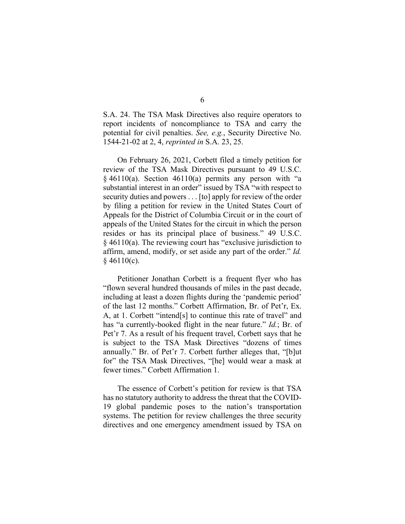S.A. 24. The TSA Mask Directives also require operators to report incidents of noncompliance to TSA and carry the potential for civil penalties. *See, e.g.*, Security Directive No. 1544-21-02 at 2, 4, *reprinted in* S.A. 23, 25.

On February 26, 2021, Corbett filed a timely petition for review of the TSA Mask Directives pursuant to 49 U.S.C.  $§$  46110(a). Section 46110(a) permits any person with "a substantial interest in an order" issued by TSA "with respect to security duties and powers . . . [to] apply for review of the order by filing a petition for review in the United States Court of Appeals for the District of Columbia Circuit or in the court of appeals of the United States for the circuit in which the person resides or has its principal place of business." 49 U.S.C. § 46110(a). The reviewing court has "exclusive jurisdiction to affirm, amend, modify, or set aside any part of the order." *Id.*  $§$  46110(c).

Petitioner Jonathan Corbett is a frequent flyer who has "flown several hundred thousands of miles in the past decade, including at least a dozen flights during the 'pandemic period' of the last 12 months." Corbett Affirmation, Br. of Pet'r, Ex. A, at 1. Corbett "intend[s] to continue this rate of travel" and has "a currently-booked flight in the near future." *Id.*; Br. of Pet'r 7. As a result of his frequent travel, Corbett says that he is subject to the TSA Mask Directives "dozens of times annually." Br. of Pet'r 7. Corbett further alleges that, "[b]ut for" the TSA Mask Directives, "[he] would wear a mask at fewer times." Corbett Affirmation 1.

The essence of Corbett's petition for review is that TSA has no statutory authority to address the threat that the COVID-19 global pandemic poses to the nation's transportation systems. The petition for review challenges the three security directives and one emergency amendment issued by TSA on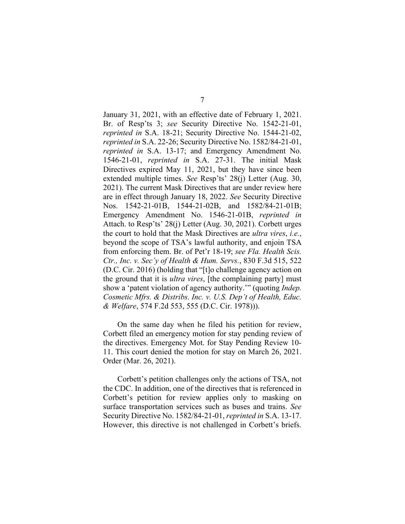January 31, 2021, with an effective date of February 1, 2021. Br. of Resp'ts 3; *see* Security Directive No. 1542-21-01, *reprinted in* S.A. 18-21; Security Directive No. 1544-21-02, *reprinted in* S.A. 22-26; Security Directive No. 1582/84-21-01, *reprinted in* S.A. 13-17; and Emergency Amendment No. 1546-21-01, *reprinted in* S.A. 27-31. The initial Mask Directives expired May 11, 2021, but they have since been extended multiple times. *See* Resp'ts' 28(j) Letter (Aug. 30, 2021). The current Mask Directives that are under review here are in effect through January 18, 2022. *See* Security Directive Nos. 1542-21-01B, 1544-21-02B, and 1582/84-21-01B; Emergency Amendment No. 1546-21-01B, *reprinted in* Attach. to Resp'ts' 28(j) Letter (Aug. 30, 2021). Corbett urges the court to hold that the Mask Directives are *ultra vires*, *i.e.*, beyond the scope of TSA's lawful authority, and enjoin TSA from enforcing them. Br. of Pet'r 18-19; *see Fla. Health Scis. Ctr., Inc. v. Sec'y of Health & Hum. Servs.*, 830 F.3d 515, 522 (D.C. Cir. 2016) (holding that "[t]o challenge agency action on the ground that it is *ultra vires*, [the complaining party] must show a 'patent violation of agency authority.'" (quoting *Indep. Cosmetic Mfrs. & Distribs. Inc. v. U.S. Dep't of Health, Educ. & Welfare*, 574 F.2d 553, 555 (D.C. Cir. 1978))).

On the same day when he filed his petition for review, Corbett filed an emergency motion for stay pending review of the directives. Emergency Mot. for Stay Pending Review 10- 11. This court denied the motion for stay on March 26, 2021. Order (Mar. 26, 2021).

Corbett's petition challenges only the actions of TSA, not the CDC. In addition, one of the directives that is referenced in Corbett's petition for review applies only to masking on surface transportation services such as buses and trains. *See* Security Directive No. 1582/84-21-01, *reprinted in* S.A. 13-17. However, this directive is not challenged in Corbett's briefs.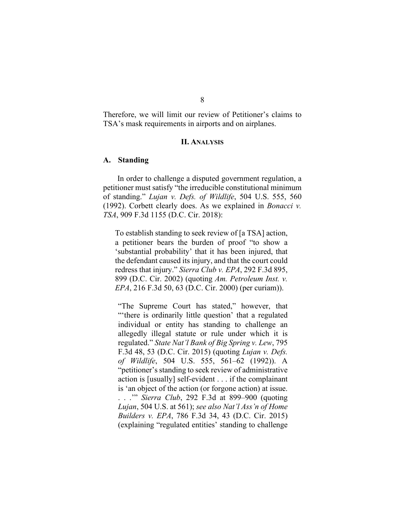Therefore, we will limit our review of Petitioner's claims to TSA's mask requirements in airports and on airplanes.

### **II. ANALYSIS**

### **A. Standing**

In order to challenge a disputed government regulation, a petitioner must satisfy "the irreducible constitutional minimum of standing." *Lujan v. Defs. of Wildlife*, 504 U.S. 555, 560 (1992). Corbett clearly does. As we explained in *Bonacci v. TSA*, 909 F.3d 1155 (D.C. Cir. 2018):

To establish standing to seek review of [a TSA] action, a petitioner bears the burden of proof "to show a 'substantial probability' that it has been injured, that the defendant caused its injury, and that the court could redress that injury." *Sierra Club v. EPA*, 292 F.3d 895, 899 (D.C. Cir. 2002) (quoting *Am. Petroleum Inst. v. EPA*, 216 F.3d 50, 63 (D.C. Cir. 2000) (per curiam)).

"The Supreme Court has stated," however, that "'there is ordinarily little question' that a regulated individual or entity has standing to challenge an allegedly illegal statute or rule under which it is regulated." *State Nat'l Bank of Big Spring v. Lew*, 795 F.3d 48, 53 (D.C. Cir. 2015) (quoting *Lujan v. Defs. of Wildlife*, 504 U.S. 555, 561–62 (1992)). A "petitioner's standing to seek review of administrative action is [usually] self-evident . . . if the complainant is 'an object of the action (or forgone action) at issue. . . .'" *Sierra Club*, 292 F.3d at 899–900 (quoting *Lujan*, 504 U.S. at 561); *see also Nat'l Ass'n of Home Builders v. EPA*, 786 F.3d 34, 43 (D.C. Cir. 2015) (explaining "regulated entities' standing to challenge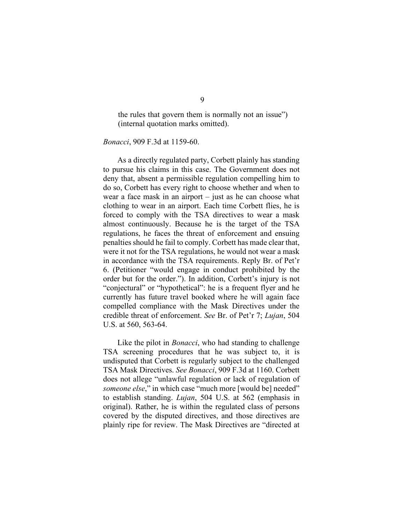the rules that govern them is normally not an issue") (internal quotation marks omitted).

*Bonacci*, 909 F.3d at 1159-60.

As a directly regulated party, Corbett plainly has standing to pursue his claims in this case. The Government does not deny that, absent a permissible regulation compelling him to do so, Corbett has every right to choose whether and when to wear a face mask in an airport – just as he can choose what clothing to wear in an airport. Each time Corbett flies, he is forced to comply with the TSA directives to wear a mask almost continuously. Because he is the target of the TSA regulations, he faces the threat of enforcement and ensuing penalties should he fail to comply. Corbett has made clear that, were it not for the TSA regulations, he would not wear a mask in accordance with the TSA requirements. Reply Br. of Pet'r 6. (Petitioner "would engage in conduct prohibited by the order but for the order."). In addition, Corbett's injury is not "conjectural" or "hypothetical": he is a frequent flyer and he currently has future travel booked where he will again face compelled compliance with the Mask Directives under the credible threat of enforcement. *See* Br. of Pet'r 7; *Lujan*, 504 U.S. at 560, 563-64.

Like the pilot in *Bonacci*, who had standing to challenge TSA screening procedures that he was subject to, it is undisputed that Corbett is regularly subject to the challenged TSA Mask Directives. *See Bonacci*, 909 F.3d at 1160. Corbett does not allege "unlawful regulation or lack of regulation of *someone else*," in which case "much more [would be] needed" to establish standing. *Lujan*, 504 U.S. at 562 (emphasis in original). Rather, he is within the regulated class of persons covered by the disputed directives, and those directives are plainly ripe for review. The Mask Directives are "directed at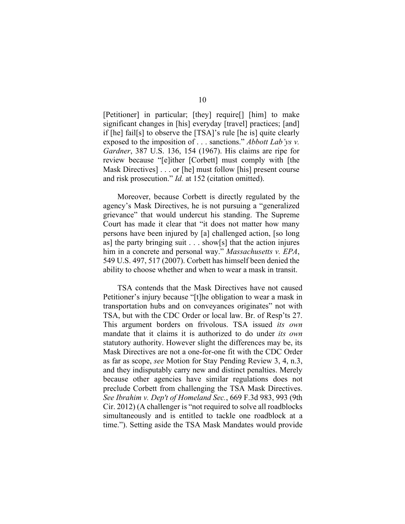[Petitioner] in particular; [they] require[] [him] to make significant changes in [his] everyday [travel] practices; [and] if [he] fail[s] to observe the [TSA]'s rule [he is] quite clearly exposed to the imposition of . . . sanctions." *Abbott Lab'ys v. Gardner*, 387 U.S. 136, 154 (1967). His claims are ripe for review because "[e]ither [Corbett] must comply with [the Mask Directives] . . . or [he] must follow [his] present course and risk prosecution." *Id.* at 152 (citation omitted).

Moreover, because Corbett is directly regulated by the agency's Mask Directives, he is not pursuing a "generalized grievance" that would undercut his standing. The Supreme Court has made it clear that "it does not matter how many persons have been injured by [a] challenged action, [so long as] the party bringing suit  $\dots$  show[s] that the action injures him in a concrete and personal way." *Massachusetts v. EPA*, 549 U.S. 497, 517 (2007). Corbett has himself been denied the ability to choose whether and when to wear a mask in transit.

TSA contends that the Mask Directives have not caused Petitioner's injury because "[t]he obligation to wear a mask in transportation hubs and on conveyances originates" not with TSA, but with the CDC Order or local law. Br. of Resp'ts 27. This argument borders on frivolous. TSA issued *its own* mandate that it claims it is authorized to do under *its own* statutory authority. However slight the differences may be, its Mask Directives are not a one-for-one fit with the CDC Order as far as scope, *see* Motion for Stay Pending Review 3, 4, n.3, and they indisputably carry new and distinct penalties. Merely because other agencies have similar regulations does not preclude Corbett from challenging the TSA Mask Directives. *See Ibrahim v. Dep't of Homeland Sec.*, 669 F.3d 983, 993 (9th Cir. 2012) (A challenger is "not required to solve all roadblocks simultaneously and is entitled to tackle one roadblock at a time."). Setting aside the TSA Mask Mandates would provide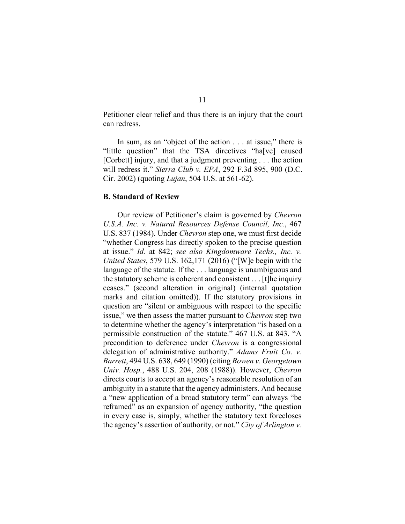Petitioner clear relief and thus there is an injury that the court can redress.

In sum, as an "object of the action . . . at issue," there is "little question" that the TSA directives "ha[ve] caused [Corbett] injury, and that a judgment preventing . . . the action will redress it." *Sierra Club v. EPA*, 292 F.3d 895, 900 (D.C. Cir. 2002) (quoting *Lujan*, 504 U.S. at 561-62).

### **B. Standard of Review**

Our review of Petitioner's claim is governed by *Chevron U.S.A. Inc. v. Natural Resources Defense Council, Inc.*, 467 U.S. 837 (1984). Under *Chevron* step one, we must first decide "whether Congress has directly spoken to the precise question at issue." *Id.* at 842; *see also Kingdomware Techs., Inc. v. United States*, 579 U.S. 162,171 (2016) ("[W]e begin with the language of the statute. If the . . . language is unambiguous and the statutory scheme is coherent and consistent . . . [t]he inquiry ceases." (second alteration in original) (internal quotation marks and citation omitted)). If the statutory provisions in question are "silent or ambiguous with respect to the specific issue," we then assess the matter pursuant to *Chevron* step two to determine whether the agency's interpretation "is based on a permissible construction of the statute." 467 U.S. at 843. "A precondition to deference under *Chevron* is a congressional delegation of administrative authority." *Adams Fruit Co. v. Barrett*, 494 U.S. 638, 649 (1990) (citing *Bowen v. Georgetown Univ. Hosp.*, 488 U.S. 204, 208 (1988)). However, *Chevron* directs courts to accept an agency's reasonable resolution of an ambiguity in a statute that the agency administers. And because a "new application of a broad statutory term" can always "be reframed" as an expansion of agency authority, "the question in every case is, simply, whether the statutory text forecloses the agency's assertion of authority, or not." *City of Arlington v.* 

## 11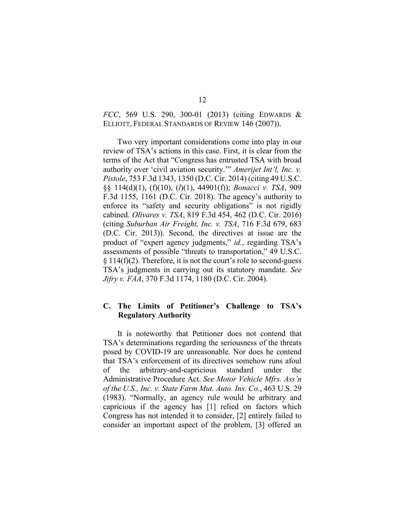# *FCC*, 569 U.S. 290, 300-01 (2013) (citing EDWARDS & ELLIOTT, FEDERAL STANDARDS OF REVIEW 146 (2007)).

Two very important considerations come into play in our review of TSA's actions in this case. First, it is clear from the terms of the Act that "Congress has entrusted TSA with broad authority over 'civil aviation security.'" *Amerijet Int'l, Inc. v. Pistole*, 753 F.3d 1343, 1350 (D.C. Cir. 2014) (citing 49 U.S.C. §§ 114(d)(1), (f)(10), (*l*)(1), 44901(f)); *Bonacci v. TSA*, 909 F.3d 1155, 1161 (D.C. Cir. 2018). The agency's authority to enforce its "safety and security obligations" is not rigidly cabined. *Olivares v. TSA*, 819 F.3d 454, 462 (D.C. Cir. 2016) (citing *Suburban Air Freight, Inc. v. TSA*, 716 F.3d 679, 683 (D.C. Cir. 2013)). Second, the directives at issue are the product of "expert agency judgments," *id.*, regarding TSA's assessments of possible "threats to transportation," 49 U.S.C.  $\S 114(f)(2)$ . Therefore, it is not the court's role to second-guess TSA's judgments in carrying out its statutory mandate. *See Jifry v. FAA*, 370 F.3d 1174, 1180 (D.C. Cir. 2004).

## **C. The Limits of Petitioner's Challenge to TSA's Regulatory Authority**

It is noteworthy that Petitioner does not contend that TSA's determinations regarding the seriousness of the threats posed by COVID-19 are unreasonable. Nor does he contend that TSA's enforcement of its directives somehow runs afoul of the arbitrary-and-capricious standard under the Administrative Procedure Act. *See Motor Vehicle Mfrs. Ass'n of the U.S., Inc. v. State Farm Mut. Auto. Ins. Co*., 463 U.S. 29 (1983). "Normally, an agency rule would be arbitrary and capricious if the agency has [1] relied on factors which Congress has not intended it to consider, [2] entirely failed to consider an important aspect of the problem, [3] offered an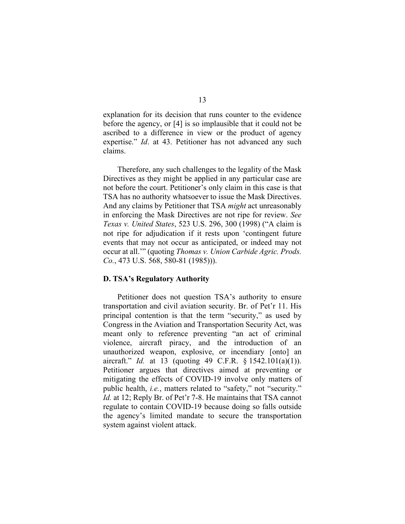explanation for its decision that runs counter to the evidence before the agency, or [4] is so implausible that it could not be ascribed to a difference in view or the product of agency expertise." *Id*. at 43. Petitioner has not advanced any such claims.

Therefore, any such challenges to the legality of the Mask Directives as they might be applied in any particular case are not before the court. Petitioner's only claim in this case is that TSA has no authority whatsoever to issue the Mask Directives. And any claims by Petitioner that TSA *might* act unreasonably in enforcing the Mask Directives are not ripe for review. *See Texas v. United States*, 523 U.S. 296, 300 (1998) ("A claim is not ripe for adjudication if it rests upon 'contingent future events that may not occur as anticipated, or indeed may not occur at all.'" (quoting *Thomas v. Union Carbide Agric. Prods. Co.*, 473 U.S. 568, 580-81 (1985))).

#### **D. TSA's Regulatory Authority**

Petitioner does not question TSA's authority to ensure transportation and civil aviation security. Br. of Pet'r 11. His principal contention is that the term "security," as used by Congress in the Aviation and Transportation Security Act, was meant only to reference preventing "an act of criminal violence, aircraft piracy, and the introduction of an unauthorized weapon, explosive, or incendiary [onto] an aircraft." *Id.* at 13 (quoting 49 C.F.R. § 1542.101(a)(1)). Petitioner argues that directives aimed at preventing or mitigating the effects of COVID-19 involve only matters of public health, *i.e.*, matters related to "safety," not "security." *Id.* at 12; Reply Br. of Pet'r 7-8. He maintains that TSA cannot regulate to contain COVID-19 because doing so falls outside the agency's limited mandate to secure the transportation system against violent attack.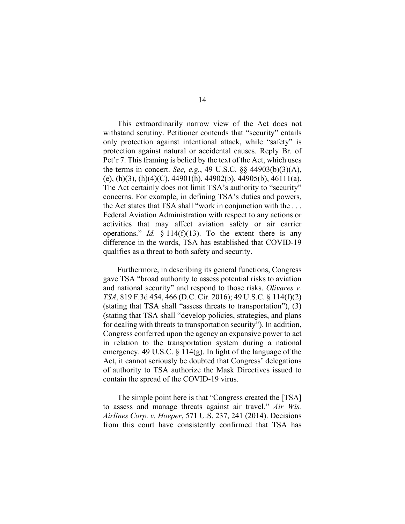This extraordinarily narrow view of the Act does not withstand scrutiny. Petitioner contends that "security" entails only protection against intentional attack, while "safety" is protection against natural or accidental causes. Reply Br. of Pet'r 7. This framing is belied by the text of the Act, which uses the terms in concert. *See, e.g.*, 49 U.S.C. §§ 44903(b)(3)(A), (e), (h)(3), (h)(4)(C), 44901(h), 44902(b), 44905(b), 46111(a). The Act certainly does not limit TSA's authority to "security" concerns. For example, in defining TSA's duties and powers, the Act states that TSA shall "work in conjunction with the . . . Federal Aviation Administration with respect to any actions or activities that may affect aviation safety or air carrier operations." *Id.* § 114(f)(13). To the extent there is any difference in the words, TSA has established that COVID-19 qualifies as a threat to both safety and security.

Furthermore, in describing its general functions, Congress gave TSA "broad authority to assess potential risks to aviation and national security" and respond to those risks. *Olivares v. TSA*, 819 F.3d 454, 466 (D.C. Cir. 2016); 49 U.S.C. § 114(f)(2) (stating that TSA shall "assess threats to transportation"), (3) (stating that TSA shall "develop policies, strategies, and plans for dealing with threats to transportation security"). In addition, Congress conferred upon the agency an expansive power to act in relation to the transportation system during a national emergency. 49 U.S.C. § 114(g). In light of the language of the Act, it cannot seriously be doubted that Congress' delegations of authority to TSA authorize the Mask Directives issued to contain the spread of the COVID-19 virus.

The simple point here is that "Congress created the [TSA] to assess and manage threats against air travel." *Air Wis. Airlines Corp. v. Hoeper*, 571 U.S. 237, 241 (2014). Decisions from this court have consistently confirmed that TSA has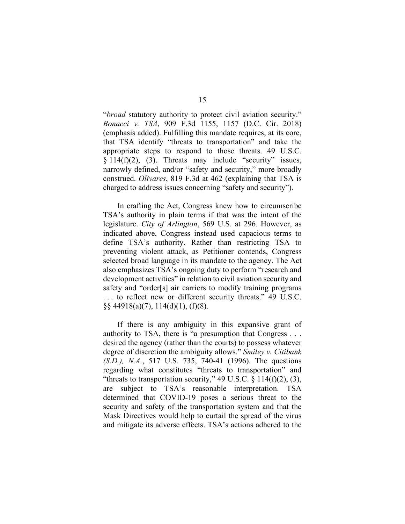"*broad* statutory authority to protect civil aviation security." *Bonacci v. TSA*, 909 F.3d 1155, 1157 (D.C. Cir. 2018) (emphasis added). Fulfilling this mandate requires, at its core, that TSA identify "threats to transportation" and take the appropriate steps to respond to those threats. 49 U.S.C. § 114(f)(2), (3). Threats may include "security" issues, narrowly defined, and/or "safety and security," more broadly construed. *Olivares*, 819 F.3d at 462 (explaining that TSA is charged to address issues concerning "safety and security").

In crafting the Act, Congress knew how to circumscribe TSA's authority in plain terms if that was the intent of the legislature. *City of Arlington*, 569 U.S. at 296. However, as indicated above, Congress instead used capacious terms to define TSA's authority. Rather than restricting TSA to preventing violent attack, as Petitioner contends, Congress selected broad language in its mandate to the agency. The Act also emphasizes TSA's ongoing duty to perform "research and development activities" in relation to civil aviation security and safety and "order[s] air carriers to modify training programs . . . to reflect new or different security threats." 49 U.S.C. §§ 44918(a)(7), 114(d)(1), (f)(8).

If there is any ambiguity in this expansive grant of authority to TSA, there is "a presumption that Congress . . . desired the agency (rather than the courts) to possess whatever degree of discretion the ambiguity allows." *Smiley v. Citibank (S.D.), N.A.*, 517 U.S. 735, 740-41 (1996). The questions regarding what constitutes "threats to transportation" and "threats to transportation security," 49 U.S.C.  $\S$  114(f)(2), (3), are subject to TSA's reasonable interpretation. TSA determined that COVID-19 poses a serious threat to the security and safety of the transportation system and that the Mask Directives would help to curtail the spread of the virus and mitigate its adverse effects. TSA's actions adhered to the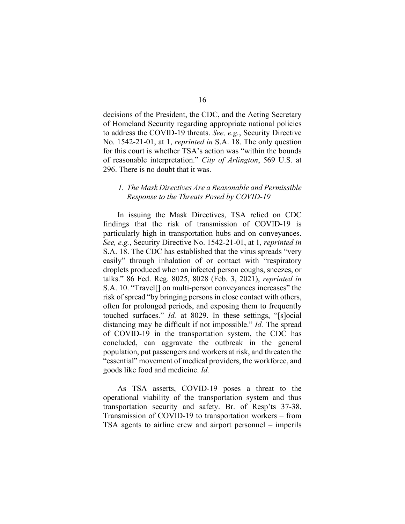decisions of the President, the CDC, and the Acting Secretary of Homeland Security regarding appropriate national policies to address the COVID-19 threats. *See, e.g.*, Security Directive No. 1542-21-01, at 1, *reprinted in* S.A. 18. The only question for this court is whether TSA's action was "within the bounds of reasonable interpretation." *City of Arlington*, 569 U.S. at 296. There is no doubt that it was.

### *1. The Mask Directives Are a Reasonable and Permissible Response to the Threats Posed by COVID-19*

In issuing the Mask Directives, TSA relied on CDC findings that the risk of transmission of COVID-19 is particularly high in transportation hubs and on conveyances. *See, e.g.*, Security Directive No. 1542-21-01, at 1*, reprinted in* S.A. 18. The CDC has established that the virus spreads "very easily" through inhalation of or contact with "respiratory droplets produced when an infected person coughs, sneezes, or talks." 86 Fed. Reg. 8025, 8028 (Feb. 3, 2021), *reprinted in* S.A. 10. "Travel[] on multi-person conveyances increases" the risk of spread "by bringing persons in close contact with others, often for prolonged periods, and exposing them to frequently touched surfaces." *Id.* at 8029. In these settings, "[s]ocial distancing may be difficult if not impossible." *Id.* The spread of COVID-19 in the transportation system, the CDC has concluded, can aggravate the outbreak in the general population, put passengers and workers at risk, and threaten the "essential" movement of medical providers, the workforce, and goods like food and medicine. *Id.*

As TSA asserts, COVID-19 poses a threat to the operational viability of the transportation system and thus transportation security and safety. Br. of Resp'ts 37-38. Transmission of COVID-19 to transportation workers – from TSA agents to airline crew and airport personnel – imperils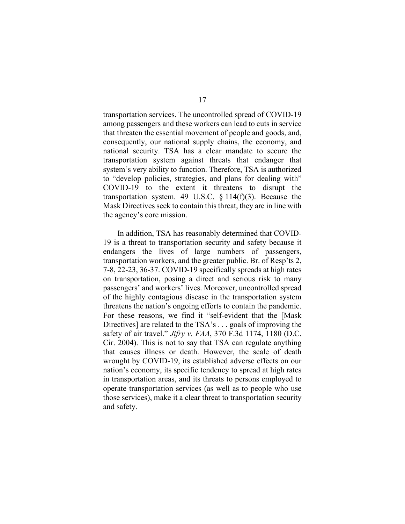transportation services. The uncontrolled spread of COVID-19 among passengers and these workers can lead to cuts in service that threaten the essential movement of people and goods, and, consequently, our national supply chains, the economy, and national security. TSA has a clear mandate to secure the transportation system against threats that endanger that system's very ability to function. Therefore, TSA is authorized to "develop policies, strategies, and plans for dealing with" COVID-19 to the extent it threatens to disrupt the transportation system. 49 U.S.C.  $\S 114(f)(3)$ . Because the Mask Directives seek to contain this threat, they are in line with the agency's core mission.

In addition, TSA has reasonably determined that COVID-19 is a threat to transportation security and safety because it endangers the lives of large numbers of passengers, transportation workers, and the greater public. Br. of Resp'ts 2, 7-8, 22-23, 36-37. COVID-19 specifically spreads at high rates on transportation, posing a direct and serious risk to many passengers' and workers' lives. Moreover, uncontrolled spread of the highly contagious disease in the transportation system threatens the nation's ongoing efforts to contain the pandemic. For these reasons, we find it "self-evident that the [Mask Directives] are related to the TSA's . . . goals of improving the safety of air travel." *Jifry v. FAA*, 370 F.3d 1174, 1180 (D.C. Cir. 2004). This is not to say that TSA can regulate anything that causes illness or death. However, the scale of death wrought by COVID-19, its established adverse effects on our nation's economy, its specific tendency to spread at high rates in transportation areas, and its threats to persons employed to operate transportation services (as well as to people who use those services), make it a clear threat to transportation security and safety.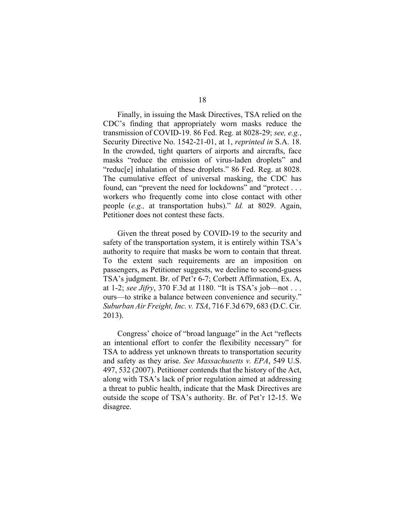Finally, in issuing the Mask Directives, TSA relied on the CDC's finding that appropriately worn masks reduce the transmission of COVID-19. 86 Fed. Reg. at 8028-29; *see, e.g.*, Security Directive No. 1542-21-01, at 1, *reprinted in* S.A. 18. In the crowded, tight quarters of airports and aircrafts, face masks "reduce the emission of virus-laden droplets" and "reduc<sup>[e]</sup> inhalation of these droplets." 86 Fed. Reg. at 8028. The cumulative effect of universal masking, the CDC has found, can "prevent the need for lockdowns" and "protect . . . workers who frequently come into close contact with other people (*e.g.,* at transportation hubs)." *Id.* at 8029. Again, Petitioner does not contest these facts.

Given the threat posed by COVID-19 to the security and safety of the transportation system, it is entirely within TSA's authority to require that masks be worn to contain that threat. To the extent such requirements are an imposition on passengers, as Petitioner suggests, we decline to second-guess TSA's judgment. Br. of Pet'r 6-7; Corbett Affirmation, Ex. A, at 1-2; *see Jifry*, 370 F.3d at 1180. "It is TSA's job—not . . . ours—to strike a balance between convenience and security." *Suburban Air Freight, Inc. v. TSA*, 716 F.3d 679, 683 (D.C. Cir. 2013).

Congress' choice of "broad language" in the Act "reflects an intentional effort to confer the flexibility necessary" for TSA to address yet unknown threats to transportation security and safety as they arise. *See Massachusetts v. EPA*, 549 U.S. 497, 532 (2007). Petitioner contends that the history of the Act, along with TSA's lack of prior regulation aimed at addressing a threat to public health, indicate that the Mask Directives are outside the scope of TSA's authority. Br. of Pet'r 12-15. We disagree.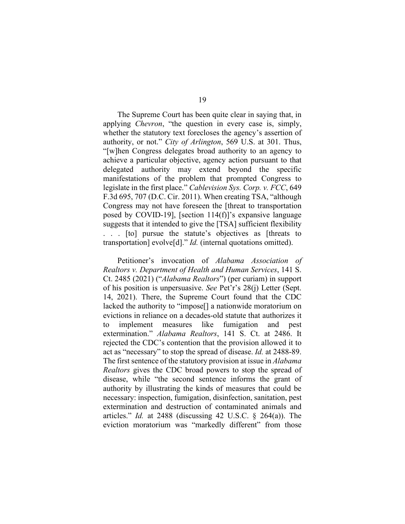The Supreme Court has been quite clear in saying that, in applying *Chevron*, "the question in every case is, simply, whether the statutory text forecloses the agency's assertion of authority, or not." *City of Arlington*, 569 U.S. at 301. Thus, "[w]hen Congress delegates broad authority to an agency to achieve a particular objective, agency action pursuant to that delegated authority may extend beyond the specific manifestations of the problem that prompted Congress to legislate in the first place." *Cablevision Sys. Corp. v. FCC*, 649 F.3d 695, 707 (D.C. Cir. 2011). When creating TSA, "although Congress may not have foreseen the [threat to transportation posed by COVID-19], [section 114(f)]'s expansive language suggests that it intended to give the [TSA] sufficient flexibility . . . [to] pursue the statute's objectives as [threats to transportation] evolve[d]." *Id.* (internal quotations omitted).

Petitioner's invocation of *Alabama Association of Realtors v. Department of Health and Human Services*, 141 S. Ct. 2485 (2021) ("*Alabama Realtors*") (per curiam) in support of his position is unpersuasive. *See* Pet'r's 28(j) Letter (Sept. 14, 2021). There, the Supreme Court found that the CDC lacked the authority to "impose[] a nationwide moratorium on evictions in reliance on a decades-old statute that authorizes it to implement measures like fumigation and pest extermination." *Alabama Realtors*, 141 S. Ct. at 2486. It rejected the CDC's contention that the provision allowed it to act as "necessary" to stop the spread of disease. *Id.* at 2488-89. The first sentence of the statutory provision at issue in *Alabama Realtors* gives the CDC broad powers to stop the spread of disease, while "the second sentence informs the grant of authority by illustrating the kinds of measures that could be necessary: inspection, fumigation, disinfection, sanitation, pest extermination and destruction of contaminated animals and articles." *Id.* at 2488 (discussing 42 U.S.C. § 264(a)). The eviction moratorium was "markedly different" from those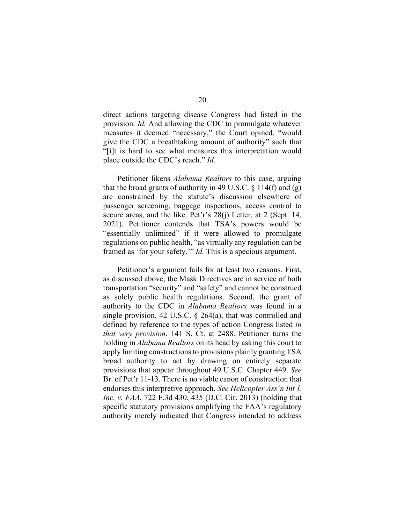direct actions targeting disease Congress had listed in the provision. *Id.* And allowing the CDC to promulgate whatever measures it deemed "necessary," the Court opined, "would give the CDC a breathtaking amount of authority" such that "[i]t is hard to see what measures this interpretation would place outside the CDC's reach." *Id.*

Petitioner likens *Alabama Realtors* to this case, arguing that the broad grants of authority in 49 U.S.C.  $\S 114(f)$  and (g) are constrained by the statute's discussion elsewhere of passenger screening, baggage inspections, access control to secure areas, and the like. Pet'r's 28(j) Letter, at 2 (Sept. 14, 2021). Petitioner contends that TSA's powers would be "essentially unlimited" if it were allowed to promulgate regulations on public health, "as virtually any regulation can be framed as 'for your safety.'" *Id.* This is a specious argument.

Petitioner's argument fails for at least two reasons. First, as discussed above, the Mask Directives are in service of both transportation "security" and "safety" and cannot be construed as solely public health regulations. Second, the grant of authority to the CDC in *Alabama Realtors* was found in a single provision, 42 U.S.C. § 264(a), that was controlled and defined by reference to the types of action Congress listed *in that very provision*. 141 S. Ct. at 2488. Petitioner turns the holding in *Alabama Realtors* on its head by asking this court to apply limiting constructions to provisions plainly granting TSA broad authority to act by drawing on entirely separate provisions that appear throughout 49 U.S.C. Chapter 449. *See* Br. of Pet'r 11-13. There is no viable canon of construction that endorses this interpretive approach. *See Helicopter Ass'n Int'l, Inc. v. FAA*, 722 F.3d 430, 435 (D.C. Cir. 2013) (holding that specific statutory provisions amplifying the FAA's regulatory authority merely indicated that Congress intended to address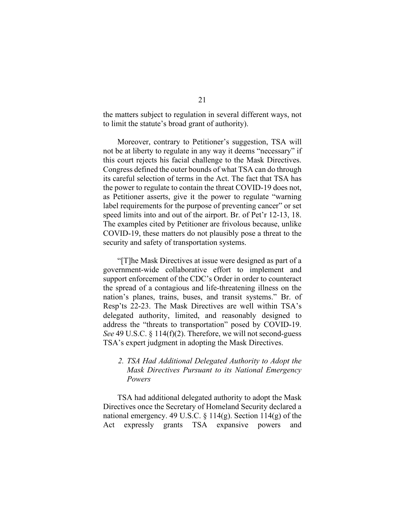the matters subject to regulation in several different ways, not to limit the statute's broad grant of authority).

Moreover, contrary to Petitioner's suggestion, TSA will not be at liberty to regulate in any way it deems "necessary" if this court rejects his facial challenge to the Mask Directives. Congress defined the outer bounds of what TSA can do through its careful selection of terms in the Act. The fact that TSA has the power to regulate to contain the threat COVID-19 does not, as Petitioner asserts, give it the power to regulate "warning label requirements for the purpose of preventing cancer" or set speed limits into and out of the airport. Br. of Pet'r 12-13, 18. The examples cited by Petitioner are frivolous because, unlike COVID-19, these matters do not plausibly pose a threat to the security and safety of transportation systems.

"[T]he Mask Directives at issue were designed as part of a government-wide collaborative effort to implement and support enforcement of the CDC's Order in order to counteract the spread of a contagious and life-threatening illness on the nation's planes, trains, buses, and transit systems." Br. of Resp'ts 22-23. The Mask Directives are well within TSA's delegated authority, limited, and reasonably designed to address the "threats to transportation" posed by COVID-19. *See* 49 U.S.C. § 114(f)(2). Therefore, we will not second-guess TSA's expert judgment in adopting the Mask Directives.

### *2. TSA Had Additional Delegated Authority to Adopt the Mask Directives Pursuant to its National Emergency Powers*

TSA had additional delegated authority to adopt the Mask Directives once the Secretary of Homeland Security declared a national emergency. 49 U.S.C.  $\S 114(g)$ . Section  $114(g)$  of the Act expressly grants TSA expansive powers and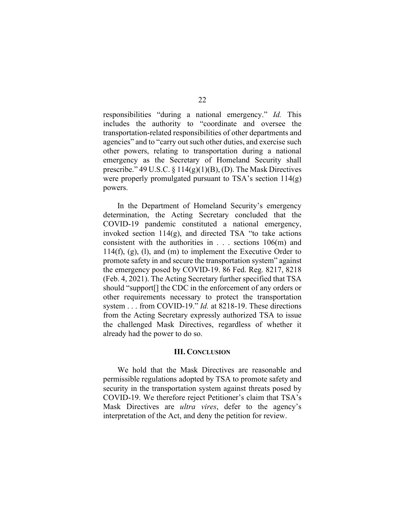responsibilities "during a national emergency." *Id.* This includes the authority to "coordinate and oversee the transportation-related responsibilities of other departments and agencies" and to "carry out such other duties, and exercise such other powers, relating to transportation during a national emergency as the Secretary of Homeland Security shall prescribe." 49 U.S.C.  $\S 114(g)(1)(B)$ , (D). The Mask Directives were properly promulgated pursuant to TSA's section  $114(g)$ powers.

In the Department of Homeland Security's emergency determination, the Acting Secretary concluded that the COVID-19 pandemic constituted a national emergency, invoked section 114(g), and directed TSA "to take actions consistent with the authorities in . . . sections 106(m) and 114(f), (g), (l), and (m) to implement the Executive Order to promote safety in and secure the transportation system" against the emergency posed by COVID-19. 86 Fed. Reg. 8217, 8218 (Feb. 4, 2021). The Acting Secretary further specified that TSA should "support[] the CDC in the enforcement of any orders or other requirements necessary to protect the transportation system . . . from COVID-19." *Id.* at 8218-19. These directions from the Acting Secretary expressly authorized TSA to issue the challenged Mask Directives, regardless of whether it already had the power to do so.

#### **III. CONCLUSION**

We hold that the Mask Directives are reasonable and permissible regulations adopted by TSA to promote safety and security in the transportation system against threats posed by COVID-19. We therefore reject Petitioner's claim that TSA's Mask Directives are *ultra vires*, defer to the agency's interpretation of the Act, and deny the petition for review.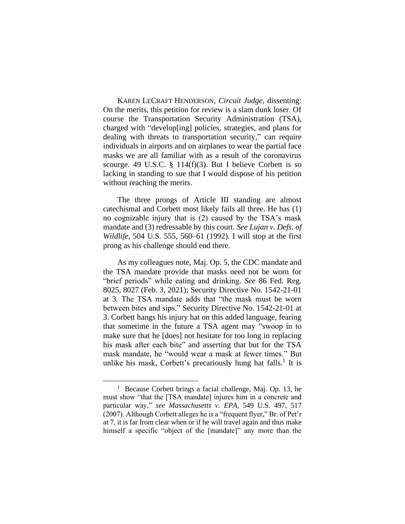KAREN LECRAFT HENDERSON, *Circuit Judge*, dissenting: On the merits, this petition for review is a slam dunk loser. Of course the Transportation Security Administration (TSA), charged with "develop[ing] policies, strategies, and plans for dealing with threats to transportation security," can require individuals in airports and on airplanes to wear the partial face masks we are all familiar with as a result of the coronavirus scourge. 49 U.S.C.  $\S$  114(f)(3). But I believe Corbett is so lacking in standing to sue that I would dispose of his petition without reaching the merits.

The three prongs of Article III standing are almost catechismal and Corbett most likely fails all three. He has (1) no cognizable injury that is (2) caused by the TSA's mask mandate and (3) redressable by this court. *See Lujan v. Defs. of Wildlife*, 504 U.S. 555, 560–61 (1992). I will stop at the first prong as his challenge should end there.

As my colleagues note, Maj. Op. 5, the CDC mandate and the TSA mandate provide that masks need not be worn for "brief periods" while eating and drinking. *See* 86 Fed. Reg. 8025, 8027 (Feb. 3, 2021); Security Directive No. 1542-21-01 at 3. The TSA mandate adds that "the mask must be worn between bites and sips." Security Directive No. 1542-21-01 at 3. Corbett hangs his injury hat on this added language, fearing that sometime in the future a TSA agent may "swoop in to make sure that he [does] not hesitate for too long in replacing his mask after each bite" and asserting that but for the TSA mask mandate, he "would wear a mask at fewer times." But unlike his mask, Corbett's precariously hung hat falls.<sup>1</sup> It is

<sup>&</sup>lt;sup>1</sup> Because Corbett brings a facial challenge, Maj. Op. 13, he must show "that the [TSA mandate] injures him in a concrete and particular way," *see Massachusetts v. EPA*, 549 U.S. 497, 517 (2007). Although Corbett alleges he is a "frequent flyer," Br. of Pet'r at 7, it is far from clear when or if he will travel again and thus make himself a specific "object of the [mandate]" any more than the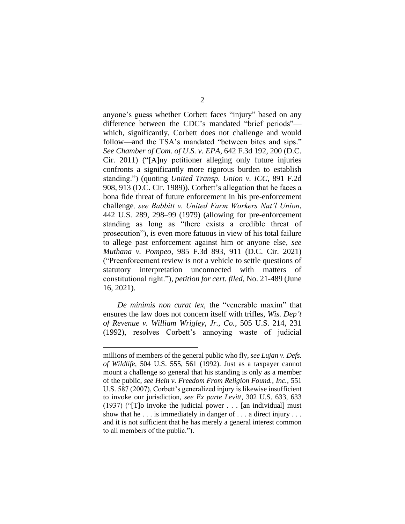anyone's guess whether Corbett faces "injury" based on any difference between the CDC's mandated "brief periods" which, significantly, Corbett does not challenge and would follow—and the TSA's mandated "between bites and sips." *See Chamber of Com. of U.S. v. EPA*, 642 F.3d 192, 200 (D.C. Cir. 2011) ("[A]ny petitioner alleging only future injuries confronts a significantly more rigorous burden to establish standing.") (quoting *United Transp. Union v. ICC*, 891 F.2d 908, 913 (D.C. Cir. 1989)). Corbett's allegation that he faces a bona fide threat of future enforcement in his pre-enforcement challenge*, see Babbitt v. United Farm Workers Nat'l Union*, 442 U.S. 289, 298–99 (1979) (allowing for pre-enforcement standing as long as "there exists a credible threat of prosecution"), is even more fatuous in view of his total failure to allege past enforcement against him or anyone else, *see Muthana v. Pompeo*, 985 F.3d 893, 911 (D.C. Cir. 2021) ("Preenforcement review is not a vehicle to settle questions of statutory interpretation unconnected with matters of constitutional right."), *petition for cert. filed*, No. 21-489 (June 16, 2021).

*De minimis non curat lex*, the "venerable maxim" that ensures the law does not concern itself with trifles, *Wis. Dep't of Revenue v. William Wrigley, Jr., Co.*, 505 U.S. 214, 231 (1992), resolves Corbett's annoying waste of judicial

millions of members of the general public who fly, *see Lujan v. Defs. of Wildlife,* 504 U.S. 555, 561 (1992). Just as a taxpayer cannot mount a challenge so general that his standing is only as a member of the public, *see Hein v. Freedom From Religion Found., Inc.*, 551 U.S. 587 (2007), Corbett's generalized injury is likewise insufficient to invoke our jurisdiction, *see Ex parte Levitt*, 302 U.S. 633, 633 (1937) ("[T]o invoke the judicial power . . . [an individual] must show that he . . . is immediately in danger of . . . a direct injury . . . and it is not sufficient that he has merely a general interest common to all members of the public.").